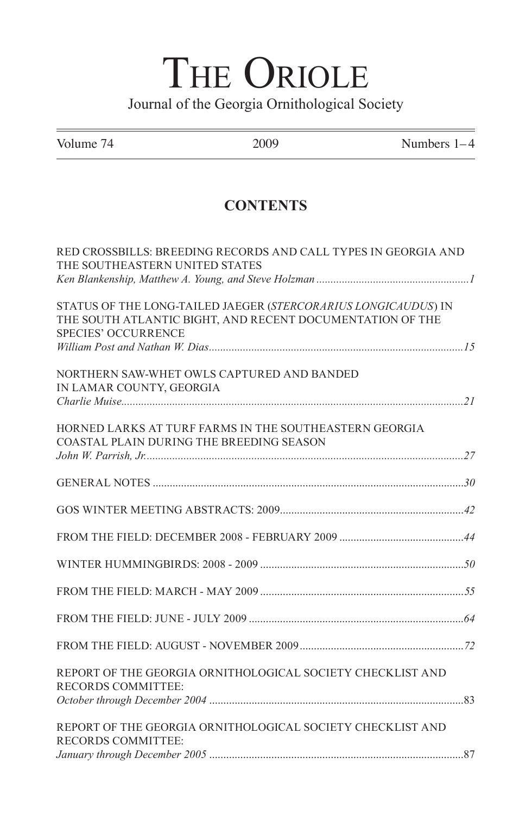## THE ORIOLE Journal of the Georgia Ornithological Society

| Volume 74                      | 2009                                                                                                                        | Numbers $1-4$ |
|--------------------------------|-----------------------------------------------------------------------------------------------------------------------------|---------------|
|                                | <b>CONTENTS</b>                                                                                                             |               |
| THE SOUTHEASTERN UNITED STATES | RED CROSSBILLS: BREEDING RECORDS AND CALL TYPES IN GEORGIA AND                                                              |               |
| <b>SPECIES' OCCURRENCE</b>     | STATUS OF THE LONG-TAILED JAEGER (STERCORARIUS LONGICAUDUS) IN<br>THE SOUTH ATLANTIC BIGHT, AND RECENT DOCUMENTATION OF THE |               |
| IN LAMAR COUNTY, GEORGIA       | NORTHERN SAW-WHET OWLS CAPTURED AND BANDED                                                                                  |               |
|                                | HORNED LARKS AT TURF FARMS IN THE SOUTHEASTERN GEORGIA<br>COASTAL PLAIN DURING THE BREEDING SEASON                          |               |
|                                |                                                                                                                             |               |
|                                |                                                                                                                             |               |
|                                |                                                                                                                             |               |
|                                |                                                                                                                             |               |
|                                |                                                                                                                             |               |
|                                |                                                                                                                             |               |
|                                |                                                                                                                             |               |
| <b>RECORDS COMMITTEE:</b>      | REPORT OF THE GEORGIA ORNITHOLOGICAL SOCIETY CHECKLIST AND                                                                  |               |
| <b>RECORDS COMMITTEE:</b>      | REPORT OF THE GEORGIA ORNITHOLOGICAL SOCIETY CHECKLIST AND                                                                  |               |